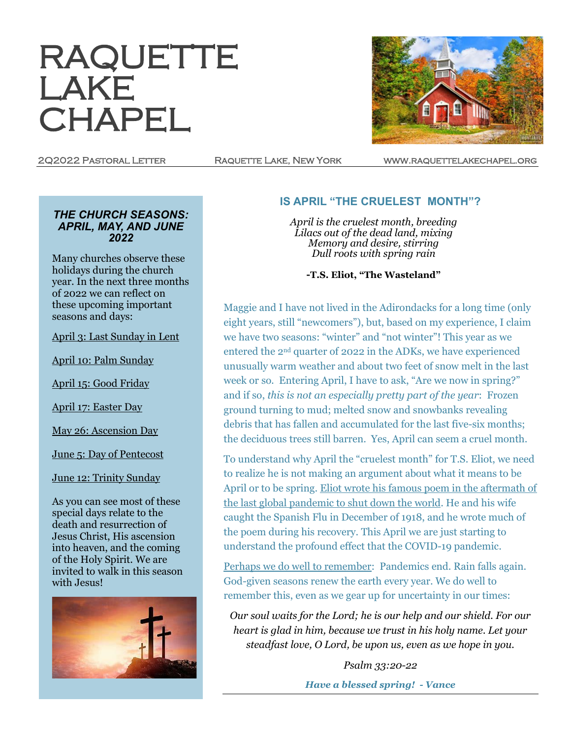# RAQUETTE LAKE **CHAPEL**

2Q2022 Pastoral Letter Raquette Lake, New York www.raquettelakechapel.org

#### *THE CHURCH SEASONS: APRIL, MAY, AND JUNE 2022*

Many churches observe these holidays during the church year. In the next three months of 2022 we can reflect on these upcoming important seasons and days:

April 3: Last Sunday in Lent

April 10: Palm Sunday

April 15: Good Friday

April 17: Easter Day

May 26: Ascension Day

June 5: Day of Pentecost

June 12: Trinity Sunday

As you can see most of these special days relate to the death and resurrection of Jesus Christ, His ascension into heaven, and the coming of the Holy Spirit. We are invited to walk in this season with Jesus!



### **IS APRIL "THE CRUELEST MONTH"?**

*April is the cruelest month, breeding Lilacs out of the dead land, mixing Memory and desire, stirring Dull roots with spring rain*

**-T.S. Eliot, "The Wasteland"**

Maggie and I have not lived in the Adirondacks for a long time (only eight years, still "newcomers"), but, based on my experience, I claim we have two seasons: "winter" and "not winter"! This year as we entered the 2nd quarter of 2022 in the ADKs, we have experienced unusually warm weather and about two feet of snow melt in the last week or so. Entering April, I have to ask, "Are we now in spring?" and if so, *this is not an especially pretty part of the year*: Frozen ground turning to mud; melted snow and snowbanks revealing debris that has fallen and accumulated for the last five-six months; the deciduous trees still barren. Yes, April can seem a cruel month.

To understand why April the "cruelest month" for T.S. Eliot, we need to realize he is not making an argument about what it means to be April or to be spring. Eliot wrote his famous poem in the aftermath of the last global pandemic to shut down the world. He and his wife caught the Spanish Flu in December of 1918, and he wrote much of the poem during his recovery. This April we are just starting to understand the profound effect that the COVID-19 pandemic.

Perhaps we do well to remember: Pandemics end. Rain falls again. God-given seasons renew the earth every year. We do well to remember this, even as we gear up for uncertainty in our times:

*Our soul waits for the Lord; he is our help and our shield. For our heart is glad in him, because we trust in his holy name. Let your steadfast love, O Lord, be upon us, even as we hope in you.* 

> *Psalm 33:20-22 Have a blessed spring! - Vance*